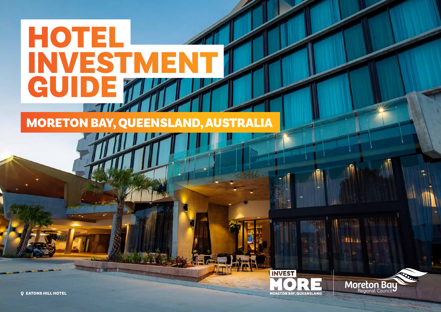## **HOTEL** INVESTMENT GUIDE

### MORETON BAY, QUEENSLAND, AUSTRALIA



Hine.

**Moreton Bay** 

**Q EATONS HILL HOTEL**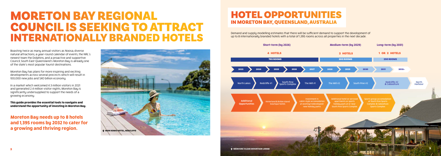Boasting twice as many annual visitors as Noosa, diverse natural attractions, a year-round calendar of events, the NRL's newest team the Dolphins, and a proactive and supportive Council, South East Queensland's Moreton Bay is already one of the state's most popular tourist destinations.

Moreton Bay has plans for more inspiring and exciting developments across several precincts which will result in 100,000 new jobs and \$40 billion economy.

### MORETON BAY REGIONAL COUNCIL IS SEEKING TO ATTRACT ERNATIONALLY BRANDED HOTELS<br>Short-term (by 2026) Medium-term (by 2029)



In a market which welcomed 4.3 million visitors in 2021 and generated 2.4 million visitor nights, Moreton Bay is significantly undersupplied to support the needs of a growing economy.

**This guide provides the essential tools to navigate and understand the opportunity of investing in Moreton Bay.**

**Moreton Bay needs up to 8 hotels and 1,395 rooms by 2032 to cater for a growing and thriving region.**

up to 8 internationally branded hotels with a total of 1,395 rooms across all properties in the next decade.

### HOTEL OPPORTUNITIES IN MORETON BAY, QUEENSLAND, AUSTRALIA



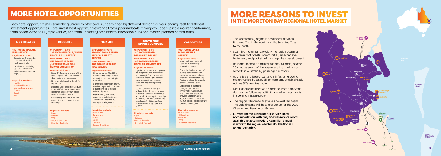Each hotel opportunity has something unique to offer and is underpinned by different demand drivers lending itself to different investment opportunities. Hotel investment opportunities range from upper midscale through to upper upscale market positionings, from ocean views to Olympic venues, and from university precincts to innovation hubs and master-planned communities.

- Key demand drivers:
- $\cdot$  Established  $\xi$  expanding commercial, retail & health precincts.
- Excellent accessibility by road (M1) and air (Brisbane International Airport).

### MORE HOTEL OPPORTUNITIES

#### 180 ROOMS UPSCALE FULL-SERVICE

|  | <b>NORTH LAKES</b> |  |  |  |  |  |
|--|--------------------|--|--|--|--|--|
|--|--------------------|--|--|--|--|--|

#### **Key visitor markets:**

OPPORTUNITY # 1: 180-200 ROOMS UPPER MIDSCALE SELECT **SERVICE** 

- Health • Weekend leisure
- Midweek corporate
- & MICE
- Sport
- VFR

OPPORTUNITY # 1: 225 ROOMS UPSCALE / UPPER UPSCALE FULL SERVICE

#### OPPORTUNITY # 2: 250 ROOMS UPSCALE / UPPER UPSCALE FULL SERVICE CONVENTION

Key demand drivers:

#### REDCLIFFE

- Redcliffe Peninsula is one of the  $most popular leisure  $\xi$  events$ destinations in the region.
- No true hotels on the Redcliffe Peninsula
- Moreton Bay (Redcliffe) Stadium in Redcliffe is home to Brisbane Roar men's soccer team and a new national NRL team.
- Scarborough Harbour Marina expansion and connection to the 'Bay'.

#### **Key visitor markets:**

#### 100 ROOMS UPPER MIDSCALE FULL **SERVICE**

#### Key demand drivers:

- Sport
- Leisure
- VFR

**The Contract of Contract of Contract of Contract of Contract of Contract of Contract of Contract of Contract o** 

- MICE & functions
- Events & festivals

OPPORTUNITY # 2: 200 ROOMS UPSCALE FULL SERVICE

#### THE MILL

#### Key demand drivers:

- Once complete, The Mill is estimated to support up to 6,000 jobs across multiple industries.
- Continued expansion of USC Petrie campus will stimulate education & conferencerelated demand.
- New-build 7,000-8,000 capacity sports facility at The Mill will host the 2032 Olympic boxing event.

#### **Key visitor markets:**

- Education
- Corporate
- Sport
- MICE
- Leisure • Events & festivals

• The Moreton Bay region is positioned between Brisbane City to the south and the Sunshine Coast to the north.

#### OPPORTUNITY # 1: 180 ROOMS UPPER

MIDSCALE/UPSCALE OPPORTUNITY # 2:

 $\cdot$  Spanning more than 2,040km<sup>2</sup> the region boasts a diverse mix of coastal communities, an expansive hinterland, and pockets of thriving urban development.

160 ROOMS MIDSCALE HOTEL OR SERVICED APT

#### **Key demand drivers:**

#### SOUTH PINE SPORTS COMPLEX

- Significant recent and ongoing development and investment in sporting infrastructure will stimulate room night demand from international, national, state and regional sporting events.
- Construction of a new \$18 million state-of-the-art soccer Women's Centre of Excellence and Youth Academu is currently underway that will become the new home for Brisbane Roar Women when they relocate in 2023.

#### **Key visitor markets:**

- Sport • Leisure
- MICE & functions • Events & festival

#### **CABOOLTURE**

- Important sub-regional health, commercial & education centre.
- Currently limited supply of quality accommodation available midway between the northern Moreton Bau Region and southern parts of the Sunshine Coast.
- Caboolture is the focus of significant future investment (Caboolture West) that will eventually provide approximately 30,000 homes for around 70,000 people and generate close to 23,000 jobs.

#### **Key visitor markets:**

- Corporate • Education
- Leisure
- VFR
- Events & festivals

 $\,$  4 More to the set of the set of the set of the set of the set of the set of the set of the set of the set of the set of the set of the set of the set of the set of the set of the set of the set of the set of the set



### MORE REASONS TO INVEST IN THE MORETON BAY REGIONAL HOTEL MARKET

• Brisbane Domestic and International Airports, located 20 minutes south of the region, are the third largest airports in Australia by passenger numbers.

• Australia's 3rd largest LGA and 5th fastest growing region fuelled by a \$40 billion economy which already acts as SEQ's engine room.

• Fast establishing itself as a sports, tourism and event destination following multimillion-dollar investments in sporting infrastructure.

• The region is home to Australia's newest NRL team The Dolphins and will be a host venue for the 2032 Olympic and Paralympic Games.

• Current limited supply of full service-hotel accommodation, with only 204 full-service rooms available to accommodate 4.3 million annual visitors to the region, which is double Noosa's annual visitation.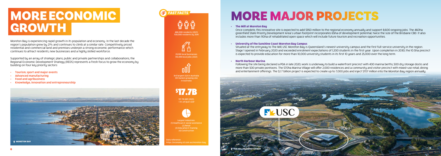Moreton Bay is experiencing rapid growth in its population and economy. In the last decade the region's population grew by 21% and continues to climb at a similar rate. Competitively priced residential and commercial land and premises underpin a strong economic performance which continues to attract residents, new businesses and a highly skilled workforce.

## MORE ECONOMIC **GROWTH**  $\theta$

Supported by an array of strategic plans, public and private partnerships and collaborations, the Regional Economic Development Strategy (REDS) represents a fresh focus to grow the economy by building on four key priority sectors:

> Largest industries (1) Healthcare & social assistance (2) Retail (3) Education & training (4) Construction

- Tourism, sport and major events
- Advanced manufacturing
- Food and agribusiness
- Knowledge, innovation and entrepreneurship

3rd largest LGA in Australia 5th fastest growing LGA in Australia

> \$17.7B GRP (2021) = 5% of QLD's GSP



\$17.7B

# 700,000 residents by 2041 *FAST FACTS*

29,100 local businesses 143,448 local jobs (2021)

#### **• The Mill at Moreton Bay**

ata reference: https://economy.id.com.au/moreton-bay Once complete, this innovative site is expected to add \$950 million to the regional economy annually and support 8,600 ongoing jobs. The 460ha greenfield State Priority Development Area's urban footprint incorporates 65ha of development potential, twice the size of the Brisbane CBD. It also includes more than 110ha of rehabilitated open space which will include future tourism and recreation opportunities.

#### **• University of the Sunshine Coast Moreton Bay Campus**

Situated at the entryway to The Mill, USC Moreton Bay is Queensland's newest university campus and the first full-service university in the region. Stage 1 opened in February 2020 and exceeded enrolment expectations of 1,200 students in the first year. Upon completion in 2030, the 10.5ha precinct is expected to provide education for more than 10,000 university students in its first 10 years and 25,000 over the long term.

#### **• North Harbour Marina**

Following the site being declared a PDA in late 2020, work is underway to build a waterfront precinct with 400 marina berths, 500 dry storage docks and more than 500 private pontoons. The 570ha Marina Village will offer 2,000 residences and a community and visitor precinct with mixed-use retail, dining and entertainment offerings. The \$2.7 billion project is expected to create up to 7,000 jobs and inject \$707 million into the Moreton Bay region annually.



## MORE MAJOR PROJECTS

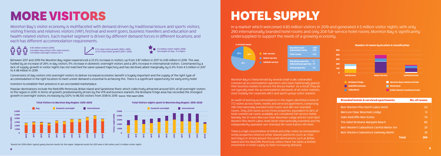Moreton Bay's visitor economy is multifaceted with demand driven by traditional leisure and sports visitors, visiting friends and relatives visitors (VRF), festival and event goers, business travellers and education and health-related visitors. Each market segment is driven by different demand forces in different locations, and each has different accommodation requirements.

## MORE VISITORS

Between 2017 and 2019 the Moreton Bay region experienced a 25.5% increase in visitors, up from 3.87 million in 2017 to 4.85 million in 2019. This was fuelled by an increase of 29% in day visitors, 11% increase in domestic overnight visitors and a 28% increase in international visitors. Constrained by a lack of supply, growth in visitor nights has not matched the same upward trajectory and has declined, albeit marginally, by 0.4% from 4.5 million in 2017 to 4.48 million in 2019.

Conversions of day visitors into overnight visitors to deliver increased economic benefit is hugely important and the supply of the right type of accommodation in the right location to meet unmet demand is essential to achieving this. There is a significant opportunity for early entry hotel

investors to establish their presence in an uncrowded marketplace.

Popular destinations include the Redcliffe Peninsula, Bribie Island and Sandstone Point, which collectively attracted around 50% of all overnight visitors to the region in 2019. In terms of growth, predominantly driven by the VFR and business markets, the Brisbane fringe area has recorded the strongest growth in overnight visitors, increasing by 120% to 96,100 visitors from 2018 to 2019. Source: THSA report (2019).

In a market which welcomed 4.85 million visitors in 2019 and generated 4.5 million visitor nights, with only 290 internationally branded hotel rooms and only 204 full-service hotel rooms, Moreton Bay is significantly undersupplied to support the needs of a growing economy.

## HOTEL SUPPLY

Moreton Bay is characterised by several small-scale, unbranded commercial accommodation operators who have traditionally geared their business models to service the leisure market. As a result, they do not typically meet the accommodation demands of all visitor markets, most notably the corporate, MICE and sports group visitor markets.

An audit of existing accommodation in the region identified a total of 772 rooms across hotels, motels and serviced apartments, comprising 290 internationally branded hotel rooms and 482 non-branded rooms. Only 204 rooms across three properties, equivalent to 26% of total commercial rooms available, are considered full-service hotels. Namely, the 51-room Mercure Clear Mountain Lodge and 63-room Best Western Plus North Lakes Hotel (both internationally branded) and the independently operated, non-branded, 90-room Eatons Hill Hotel.

There is a high concentration of Airbnb and other visitor accommodation rental properties listed on other shared platforms (such as Vrbo and Stayz) in strong leisure-focussed destinations such as Bribie Island and the Redcliffe Peninsula, where there has been a limited investment in hotel supply to meet increasing demand.

4.85 million visitors (2019) 3.8 million day visitors (79% total visitors) 1.01 million overnight visitors (21%)















| <b>Branded hotels &amp; serviced apartments</b> | <b>No. of rooms</b> |
|-------------------------------------------------|---------------------|
| <b>Best Western Plus North Lakes Hotel</b>      | 63                  |
| <b>Mercure Clear Mountain Lodge</b>             | 51                  |
| Oaks Redcliffe Mon Komo                         | 70                  |
| The Sebel Brisbane Margate Beach                | 60                  |
| Best Western Caboolture Central Motor Inn       | 20                  |
| <b>Best Western Caboolture Gateway Motel</b>    | 26                  |
| <b>Total</b>                                    | 290                 |
|                                                 |                     |

\*Results for 2019 reflect typical yearly tourism results for the region. Regional results for 2021 were 4.3M visitors and 2.4 million visitor nights.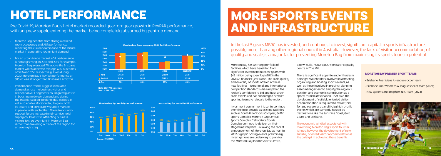Pre Covid-19, Moreton Bay's hotel market recorded year-on-year growth in RevPAR performance, with any new supply entering the market being completely absorbed by pent-up demand.

## HOTEL PERFORMANCE

- Moreton Bay benefits from strong weekend room occupancy and ADR performance, reflecting the current dominance of the leisure market in generating room night demand.
- For an urban fringe market, ADR performance is notably strong. In 2018 and 2019 for example, Moreton Bay averaged 7% above the Brisbane market which achieved average ADR outcomes of \$156 and \$158 respectively. Even during 2020, Moreton Bay's RevPAR performance at \$85.45 was stronger than Brisbane's at \$62.52.
- Performance trends suggest stimulated demand across the business visitor and residential MICE segments could greatly assist in boosting midweek demand and during the traditionally off-peak holiday periods. It will also enable Moreton Bay to grow both its leisure and corporate visitation markets in parallel with each other. These trends also suggest future increase in full-service hotel supply could assist in attracting business visitors to stay overnight in Moreton Bay, rather than travelling outside of the region for an overnight stay.

In the last 5 years MBRC has invested, and continues to invest, significant capital in sports infrastructure, possibly more than any other regional council in Australia. However, the lack of visitor accommodation, of quality and scale, is a major factor preventing Moreton Bay from maximising its sports tourism potential.

### MORE SPORTS EVENTS AND INFRASTRUCTURE

Moreton Bay has a strong portfolio of facilities which have benefited from significant investment in recent years, with \$49 million being spent by MBRC in the 2020/21 financial year alone. The scale, quality and diversity of sports offered at these new facilities – to national and international competition standards – has amplified the region's confidence to bid and host largescale events and has encouraged premier sporting teams to relocate to the region.

Investment commitment is set to continue over the next decade as existing facilities such as South Pine Sports Complex, Griffin Sports Complex, Moreton Bay Central Sports Complex, Caboolture Sports Complex continue to deliver on their staged masterplans. Following the recent announcement of Moreton Bay as host to 2032 Olympic boxing events, preliminary investigations are underway to plan for the Moreton Bay Indoor Sports Centre,

a new-build, 7,000-8,000 spectator capacity centre at The Mill.

There is significant appetite and enthusiasm amongst stakeholders involved in attracting, organising and hosting sports events, as well as those involved in precinct planning asset management to amplify the region's position and economic contribution as a sports tourism destination. That said, the development of suitably oriented visitor accommodation is required to attract, bid for and secure large, multi-day high profile events which are currently hosted by destinations like the Sunshine Coast, Gold Coast and Brisbane.

The economic windfall associated with maximising Moreton Bay's sport tourism is huge, however the development of new, suitably oriented visitor accommodation is the catalyst in achieving these benefits.

#### MORETON BAY PREMIER SPORT TEAMS:

- Brisbane Roar Mens A-league soccer team
- Brisbane Roar Womens A-league soccer team (2023)
- New Queensland Dolphins NRL team (2023)





Note: 2021 YTD (Jan-May) Source: STR (2021)